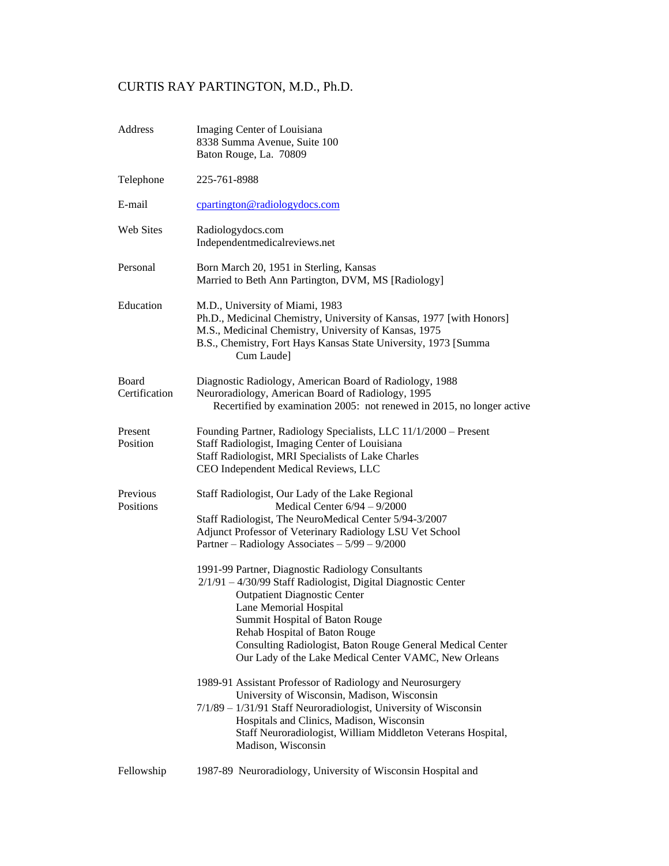# CURTIS RAY PARTINGTON, M.D., Ph.D.

| Address                | Imaging Center of Louisiana<br>8338 Summa Avenue, Suite 100<br>Baton Rouge, La. 70809                                                                                                                                                                                                                                                                                                                                                                                                                                                                                                                                                         |
|------------------------|-----------------------------------------------------------------------------------------------------------------------------------------------------------------------------------------------------------------------------------------------------------------------------------------------------------------------------------------------------------------------------------------------------------------------------------------------------------------------------------------------------------------------------------------------------------------------------------------------------------------------------------------------|
| Telephone              | 225-761-8988                                                                                                                                                                                                                                                                                                                                                                                                                                                                                                                                                                                                                                  |
| E-mail                 | cpartington@radiologydocs.com                                                                                                                                                                                                                                                                                                                                                                                                                                                                                                                                                                                                                 |
| <b>Web Sites</b>       | Radiologydocs.com<br>Independentmedicalreviews.net                                                                                                                                                                                                                                                                                                                                                                                                                                                                                                                                                                                            |
| Personal               | Born March 20, 1951 in Sterling, Kansas<br>Married to Beth Ann Partington, DVM, MS [Radiology]                                                                                                                                                                                                                                                                                                                                                                                                                                                                                                                                                |
| Education              | M.D., University of Miami, 1983<br>Ph.D., Medicinal Chemistry, University of Kansas, 1977 [with Honors]<br>M.S., Medicinal Chemistry, University of Kansas, 1975<br>B.S., Chemistry, Fort Hays Kansas State University, 1973 [Summa<br>Cum Laude]                                                                                                                                                                                                                                                                                                                                                                                             |
| Board<br>Certification | Diagnostic Radiology, American Board of Radiology, 1988<br>Neuroradiology, American Board of Radiology, 1995<br>Recertified by examination 2005: not renewed in 2015, no longer active                                                                                                                                                                                                                                                                                                                                                                                                                                                        |
| Present<br>Position    | Founding Partner, Radiology Specialists, LLC 11/1/2000 - Present<br>Staff Radiologist, Imaging Center of Louisiana<br>Staff Radiologist, MRI Specialists of Lake Charles<br>CEO Independent Medical Reviews, LLC                                                                                                                                                                                                                                                                                                                                                                                                                              |
| Previous<br>Positions  | Staff Radiologist, Our Lady of the Lake Regional<br>Medical Center $6/94 - 9/2000$<br>Staff Radiologist, The NeuroMedical Center 5/94-3/2007<br>Adjunct Professor of Veterinary Radiology LSU Vet School<br>Partner – Radiology Associates – $5/99 - 9/2000$<br>1991-99 Partner, Diagnostic Radiology Consultants<br>2/1/91 - 4/30/99 Staff Radiologist, Digital Diagnostic Center<br><b>Outpatient Diagnostic Center</b><br>Lane Memorial Hospital<br>Summit Hospital of Baton Rouge<br>Rehab Hospital of Baton Rouge<br>Consulting Radiologist, Baton Rouge General Medical Center<br>Our Lady of the Lake Medical Center VAMC, New Orleans |
|                        | 1989-91 Assistant Professor of Radiology and Neurosurgery<br>University of Wisconsin, Madison, Wisconsin<br>7/1/89 - 1/31/91 Staff Neuroradiologist, University of Wisconsin<br>Hospitals and Clinics, Madison, Wisconsin<br>Staff Neuroradiologist, William Middleton Veterans Hospital,<br>Madison, Wisconsin                                                                                                                                                                                                                                                                                                                               |
| Fellowship             | 1987-89 Neuroradiology, University of Wisconsin Hospital and                                                                                                                                                                                                                                                                                                                                                                                                                                                                                                                                                                                  |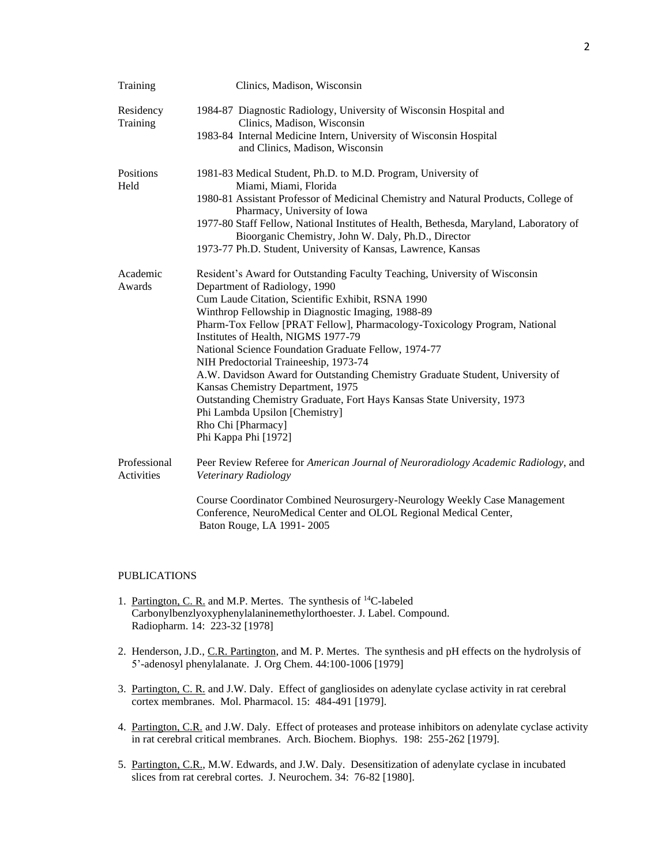| Training                   | Clinics, Madison, Wisconsin                                                                                                                                                 |
|----------------------------|-----------------------------------------------------------------------------------------------------------------------------------------------------------------------------|
| Residency<br>Training      | 1984-87 Diagnostic Radiology, University of Wisconsin Hospital and<br>Clinics, Madison, Wisconsin                                                                           |
|                            | 1983-84 Internal Medicine Intern, University of Wisconsin Hospital<br>and Clinics, Madison, Wisconsin                                                                       |
| Positions<br>Held          | 1981-83 Medical Student, Ph.D. to M.D. Program, University of<br>Miami, Miami, Florida                                                                                      |
|                            | 1980-81 Assistant Professor of Medicinal Chemistry and Natural Products, College of<br>Pharmacy, University of Iowa                                                         |
|                            | 1977-80 Staff Fellow, National Institutes of Health, Bethesda, Maryland, Laboratory of<br>Bioorganic Chemistry, John W. Daly, Ph.D., Director                               |
|                            | 1973-77 Ph.D. Student, University of Kansas, Lawrence, Kansas                                                                                                               |
| Academic                   | Resident's Award for Outstanding Faculty Teaching, University of Wisconsin                                                                                                  |
| Awards                     | Department of Radiology, 1990<br>Cum Laude Citation, Scientific Exhibit, RSNA 1990                                                                                          |
|                            | Winthrop Fellowship in Diagnostic Imaging, 1988-89                                                                                                                          |
|                            | Pharm-Tox Fellow [PRAT Fellow], Pharmacology-Toxicology Program, National<br>Institutes of Health, NIGMS 1977-79                                                            |
|                            | National Science Foundation Graduate Fellow, 1974-77                                                                                                                        |
|                            | NIH Predoctorial Traineeship, 1973-74                                                                                                                                       |
|                            | A.W. Davidson Award for Outstanding Chemistry Graduate Student, University of<br>Kansas Chemistry Department, 1975                                                          |
|                            | Outstanding Chemistry Graduate, Fort Hays Kansas State University, 1973<br>Phi Lambda Upsilon [Chemistry]                                                                   |
|                            | Rho Chi [Pharmacy]                                                                                                                                                          |
|                            | Phi Kappa Phi [1972]                                                                                                                                                        |
| Professional<br>Activities | Peer Review Referee for American Journal of Neuroradiology Academic Radiology, and<br>Veterinary Radiology                                                                  |
|                            | Course Coordinator Combined Neurosurgery-Neurology Weekly Case Management<br>Conference, NeuroMedical Center and OLOL Regional Medical Center,<br>Baton Rouge, LA 1991-2005 |

### PUBLICATIONS

- 1. Partington, C. R. and M.P. Mertes. The synthesis of <sup>14</sup>C-labeled Carbonylbenzlyoxyphenylalaninemethylorthoester. J. Label. Compound. Radiopharm. 14: 223-32 [1978]
- 2. Henderson, J.D., C.R. Partington, and M. P. Mertes. The synthesis and pH effects on the hydrolysis of 5'-adenosyl phenylalanate. J. Org Chem. 44:100-1006 [1979]
- 3. Partington, C. R. and J.W. Daly. Effect of gangliosides on adenylate cyclase activity in rat cerebral cortex membranes. Mol. Pharmacol. 15: 484-491 [1979].
- 4. Partington, C.R. and J.W. Daly. Effect of proteases and protease inhibitors on adenylate cyclase activity in rat cerebral critical membranes. Arch. Biochem. Biophys. 198: 255-262 [1979].
- 5. Partington, C.R., M.W. Edwards, and J.W. Daly. Desensitization of adenylate cyclase in incubated slices from rat cerebral cortes. J. Neurochem. 34: 76-82 [1980].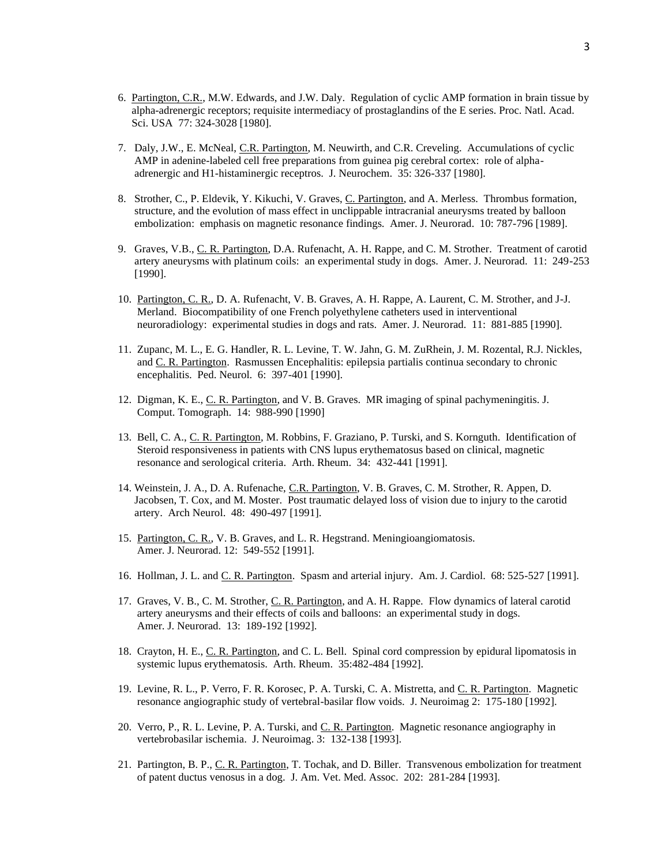- 6. Partington, C.R., M.W. Edwards, and J.W. Daly. Regulation of cyclic AMP formation in brain tissue by alpha-adrenergic receptors; requisite intermediacy of prostaglandins of the E series. Proc. Natl. Acad. Sci. USA 77: 324-3028 [1980].
- 7. Daly, J.W., E. McNeal, C.R. Partington, M. Neuwirth, and C.R. Creveling. Accumulations of cyclic AMP in adenine-labeled cell free preparations from guinea pig cerebral cortex: role of alpha adrenergic and H1-histaminergic receptros. J. Neurochem. 35: 326-337 [1980].
- 8. Strother, C., P. Eldevik, Y. Kikuchi, V. Graves, C. Partington, and A. Merless. Thrombus formation, structure, and the evolution of mass effect in unclippable intracranial aneurysms treated by balloon embolization: emphasis on magnetic resonance findings. Amer. J. Neurorad. 10: 787-796 [1989].
- 9. Graves, V.B., C. R. Partington, D.A. Rufenacht, A. H. Rappe, and C. M. Strother. Treatment of carotid artery aneurysms with platinum coils: an experimental study in dogs. Amer. J. Neurorad. 11: 249-253 [1990].
- 10. Partington, C. R., D. A. Rufenacht, V. B. Graves, A. H. Rappe, A. Laurent, C. M. Strother, and J-J. Merland. Biocompatibility of one French polyethylene catheters used in interventional neuroradiology: experimental studies in dogs and rats. Amer. J. Neurorad. 11: 881-885 [1990].
- 11. Zupanc, M. L., E. G. Handler, R. L. Levine, T. W. Jahn, G. M. ZuRhein, J. M. Rozental, R.J. Nickles, and C. R. Partington. Rasmussen Encephalitis: epilepsia partialis continua secondary to chronic encephalitis. Ped. Neurol. 6: 397-401 [1990].
- 12. Digman, K. E., C. R. Partington, and V. B. Graves. MR imaging of spinal pachymeningitis. J. Comput. Tomograph. 14: 988-990 [1990]
- 13. Bell, C. A., C. R. Partington, M. Robbins, F. Graziano, P. Turski, and S. Kornguth. Identification of Steroid responsiveness in patients with CNS lupus erythematosus based on clinical, magnetic resonance and serological criteria. Arth. Rheum. 34: 432-441 [1991].
- 14. Weinstein, J. A., D. A. Rufenache, C.R. Partington, V. B. Graves, C. M. Strother, R. Appen, D. Jacobsen, T. Cox, and M. Moster. Post traumatic delayed loss of vision due to injury to the carotid artery. Arch Neurol. 48: 490-497 [1991].
- 15. Partington, C. R., V. B. Graves, and L. R. Hegstrand. Meningioangiomatosis. Amer. J. Neurorad. 12: 549-552 [1991].
- 16. Hollman, J. L. and C. R. Partington. Spasm and arterial injury. Am. J. Cardiol. 68: 525-527 [1991].
- 17. Graves, V. B., C. M. Strother, C. R. Partington, and A. H. Rappe. Flow dynamics of lateral carotid artery aneurysms and their effects of coils and balloons: an experimental study in dogs. Amer. J. Neurorad. 13: 189-192 [1992].
- 18. Crayton, H. E., C. R. Partington, and C. L. Bell. Spinal cord compression by epidural lipomatosis in systemic lupus erythematosis. Arth. Rheum. 35:482-484 [1992].
- 19. Levine, R. L., P. Verro, F. R. Korosec, P. A. Turski, C. A. Mistretta, and C. R. Partington. Magnetic resonance angiographic study of vertebral-basilar flow voids. J. Neuroimag 2: 175-180 [1992].
- 20. Verro, P., R. L. Levine, P. A. Turski, and C. R. Partington. Magnetic resonance angiography in vertebrobasilar ischemia. J. Neuroimag. 3: 132-138 [1993].
- 21. Partington, B. P., C. R. Partington, T. Tochak, and D. Biller. Transvenous embolization for treatment of patent ductus venosus in a dog. J. Am. Vet. Med. Assoc. 202: 281-284 [1993].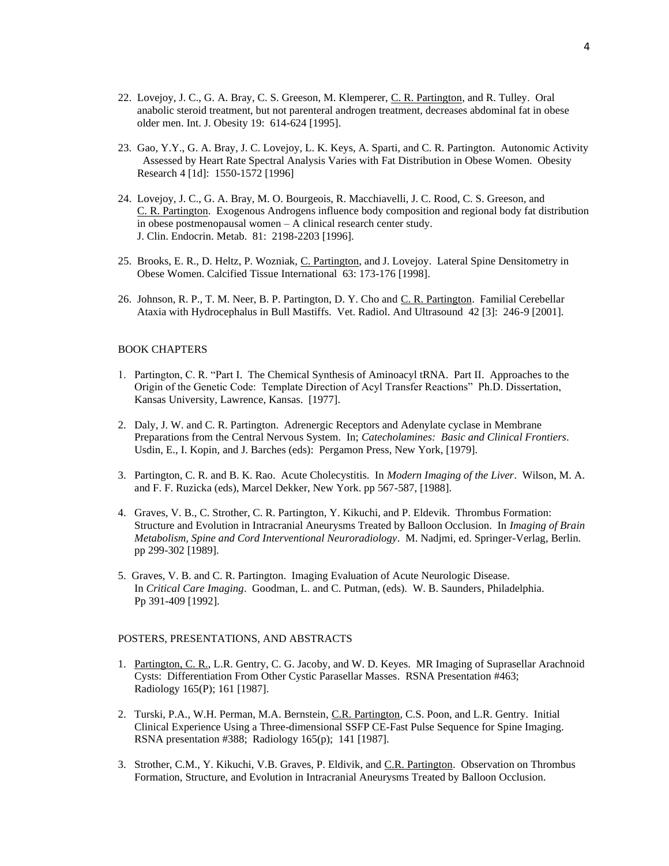- 22. Lovejoy, J. C., G. A. Bray, C. S. Greeson, M. Klemperer, C. R. Partington, and R. Tulley. Oral anabolic steroid treatment, but not parenteral androgen treatment, decreases abdominal fat in obese older men. Int. J. Obesity 19: 614-624 [1995].
- 23. Gao, Y.Y., G. A. Bray, J. C. Lovejoy, L. K. Keys, A. Sparti, and C. R. Partington. Autonomic Activity Assessed by Heart Rate Spectral Analysis Varies with Fat Distribution in Obese Women. Obesity Research 4 [1d]: 1550-1572 [1996]
- 24. Lovejoy, J. C., G. A. Bray, M. O. Bourgeois, R. Macchiavelli, J. C. Rood, C. S. Greeson, and C. R. Partington. Exogenous Androgens influence body composition and regional body fat distribution in obese postmenopausal women – A clinical research center study. J. Clin. Endocrin. Metab. 81: 2198-2203 [1996].
- 25. Brooks, E. R., D. Heltz, P. Wozniak, C. Partington, and J. Lovejoy. Lateral Spine Densitometry in Obese Women. Calcified Tissue International 63: 173-176 [1998].
- 26. Johnson, R. P., T. M. Neer, B. P. Partington, D. Y. Cho and C. R. Partington. Familial Cerebellar Ataxia with Hydrocephalus in Bull Mastiffs. Vet. Radiol. And Ultrasound 42 [3]: 246-9 [2001].

## BOOK CHAPTERS

- 1. Partington, C. R. "Part I. The Chemical Synthesis of Aminoacyl tRNA. Part II. Approaches to the Origin of the Genetic Code: Template Direction of Acyl Transfer Reactions" Ph.D. Dissertation, Kansas University, Lawrence, Kansas. [1977].
- 2. Daly, J. W. and C. R. Partington. Adrenergic Receptors and Adenylate cyclase in Membrane Preparations from the Central Nervous System. In; *Catecholamines: Basic and Clinical Frontiers*. Usdin, E., I. Kopin, and J. Barches (eds): Pergamon Press, New York, [1979].
- 3. Partington, C. R. and B. K. Rao. Acute Cholecystitis. In *Modern Imaging of the Liver*. Wilson, M. A. and F. F. Ruzicka (eds), Marcel Dekker, New York. pp 567-587, [1988].
- 4. Graves, V. B., C. Strother, C. R. Partington, Y. Kikuchi, and P. Eldevik. Thrombus Formation: Structure and Evolution in Intracranial Aneurysms Treated by Balloon Occlusion. In *Imaging of Brain Metabolism, Spine and Cord Interventional Neuroradiology*. M. Nadjmi, ed. Springer-Verlag, Berlin. pp 299-302 [1989].
- 5. Graves, V. B. and C. R. Partington. Imaging Evaluation of Acute Neurologic Disease. In *Critical Care Imaging*. Goodman, L. and C. Putman, (eds). W. B. Saunders, Philadelphia. Pp 391-409 [1992].

## POSTERS, PRESENTATIONS, AND ABSTRACTS

- 1. Partington, C. R., L.R. Gentry, C. G. Jacoby, and W. D. Keyes. MR Imaging of Suprasellar Arachnoid Cysts: Differentiation From Other Cystic Parasellar Masses. RSNA Presentation #463; Radiology 165(P); 161 [1987].
- 2. Turski, P.A., W.H. Perman, M.A. Bernstein, C.R. Partington, C.S. Poon, and L.R. Gentry. Initial Clinical Experience Using a Three-dimensional SSFP CE-Fast Pulse Sequence for Spine Imaging. RSNA presentation #388; Radiology 165(p); 141 [1987].
- 3. Strother, C.M., Y. Kikuchi, V.B. Graves, P. Eldivik, and C.R. Partington. Observation on Thrombus Formation, Structure, and Evolution in Intracranial Aneurysms Treated by Balloon Occlusion.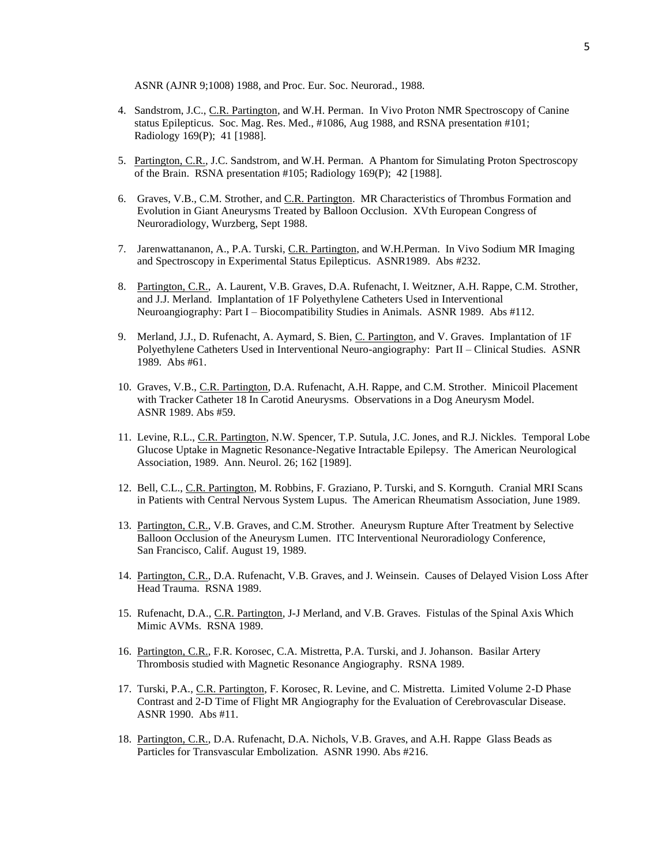ASNR (AJNR 9;1008) 1988, and Proc. Eur. Soc. Neurorad., 1988.

- 4. Sandstrom, J.C., C.R. Partington, and W.H. Perman. In Vivo Proton NMR Spectroscopy of Canine status Epilepticus. Soc. Mag. Res. Med., #1086, Aug 1988, and RSNA presentation #101; Radiology 169(P); 41 [1988].
- 5. Partington, C.R., J.C. Sandstrom, and W.H. Perman. A Phantom for Simulating Proton Spectroscopy of the Brain. RSNA presentation #105; Radiology 169(P); 42 [1988].
- 6. Graves, V.B., C.M. Strother, and C.R. Partington. MR Characteristics of Thrombus Formation and Evolution in Giant Aneurysms Treated by Balloon Occlusion. XVth European Congress of Neuroradiology, Wurzberg, Sept 1988.
- 7. Jarenwattananon, A., P.A. Turski, C.R. Partington, and W.H. Perman. In Vivo Sodium MR Imaging and Spectroscopy in Experimental Status Epilepticus. ASNR1989. Abs #232.
- 8. Partington, C.R., A. Laurent, V.B. Graves, D.A. Rufenacht, I. Weitzner, A.H. Rappe, C.M. Strother, and J.J. Merland. Implantation of 1F Polyethylene Catheters Used in Interventional Neuroangiography: Part I – Biocompatibility Studies in Animals. ASNR 1989. Abs #112.
- 9. Merland, J.J., D. Rufenacht, A. Aymard, S. Bien, C. Partington, and V. Graves. Implantation of 1F Polyethylene Catheters Used in Interventional Neuro-angiography: Part II – Clinical Studies. ASNR 1989. Abs #61.
- 10. Graves, V.B., C.R. Partington, D.A. Rufenacht, A.H. Rappe, and C.M. Strother. Minicoil Placement with Tracker Catheter 18 In Carotid Aneurysms. Observations in a Dog Aneurysm Model. ASNR 1989. Abs #59.
- 11. Levine, R.L., C.R. Partington, N.W. Spencer, T.P. Sutula, J.C. Jones, and R.J. Nickles. Temporal Lobe Glucose Uptake in Magnetic Resonance-Negative Intractable Epilepsy. The American Neurological Association, 1989. Ann. Neurol. 26; 162 [1989].
- 12. Bell, C.L., C.R. Partington, M. Robbins, F. Graziano, P. Turski, and S. Kornguth. Cranial MRI Scans in Patients with Central Nervous System Lupus. The American Rheumatism Association, June 1989.
- 13. Partington, C.R., V.B. Graves, and C.M. Strother. Aneurysm Rupture After Treatment by Selective Balloon Occlusion of the Aneurysm Lumen. ITC Interventional Neuroradiology Conference, San Francisco, Calif. August 19, 1989.
- 14. Partington, C.R., D.A. Rufenacht, V.B. Graves, and J. Weinsein. Causes of Delayed Vision Loss After Head Trauma. RSNA 1989.
- 15. Rufenacht, D.A., C.R. Partington, J-J Merland, and V.B. Graves. Fistulas of the Spinal Axis Which Mimic AVMs. RSNA 1989.
- 16. Partington, C.R., F.R. Korosec, C.A. Mistretta, P.A. Turski, and J. Johanson. Basilar Artery Thrombosis studied with Magnetic Resonance Angiography. RSNA 1989.
- 17. Turski, P.A., C.R. Partington, F. Korosec, R. Levine, and C. Mistretta. Limited Volume 2-D Phase Contrast and 2-D Time of Flight MR Angiography for the Evaluation of Cerebrovascular Disease. ASNR 1990. Abs #11.
- 18. Partington, C.R., D.A. Rufenacht, D.A. Nichols, V.B. Graves, and A.H. Rappe Glass Beads as Particles for Transvascular Embolization. ASNR 1990. Abs #216.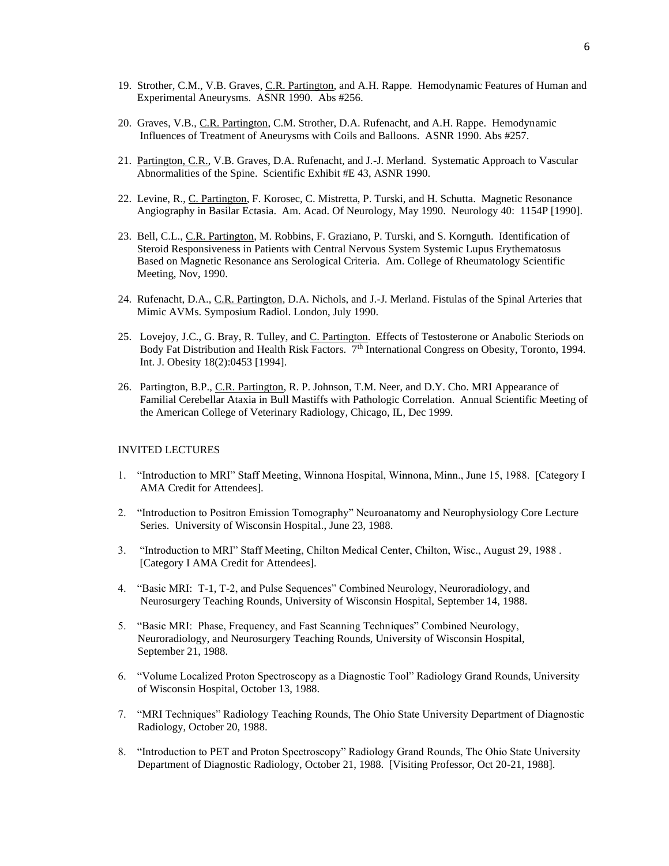- 19. Strother, C.M., V.B. Graves, C.R. Partington, and A.H. Rappe. Hemodynamic Features of Human and Experimental Aneurysms. ASNR 1990. Abs #256.
- 20. Graves, V.B., C.R. Partington, C.M. Strother, D.A. Rufenacht, and A.H. Rappe. Hemodynamic Influences of Treatment of Aneurysms with Coils and Balloons. ASNR 1990. Abs #257.
- 21. Partington, C.R., V.B. Graves, D.A. Rufenacht, and J.-J. Merland. Systematic Approach to Vascular Abnormalities of the Spine. Scientific Exhibit #E 43, ASNR 1990.
- 22. Levine, R., C. Partington, F. Korosec, C. Mistretta, P. Turski, and H. Schutta. Magnetic Resonance Angiography in Basilar Ectasia. Am. Acad. Of Neurology, May 1990. Neurology 40: 1154P [1990].
- 23. Bell, C.L., C.R. Partington, M. Robbins, F. Graziano, P. Turski, and S. Kornguth. Identification of Steroid Responsiveness in Patients with Central Nervous System Systemic Lupus Erythematosus Based on Magnetic Resonance ans Serological Criteria. Am. College of Rheumatology Scientific Meeting, Nov, 1990.
- 24. Rufenacht, D.A., C.R. Partington, D.A. Nichols, and J.-J. Merland. Fistulas of the Spinal Arteries that Mimic AVMs. Symposium Radiol. London, July 1990.
- 25. Lovejoy, J.C., G. Bray, R. Tulley, and C. Partington. Effects of Testosterone or Anabolic Steriods on Body Fat Distribution and Health Risk Factors.  $7<sup>th</sup>$  International Congress on Obesity, Toronto, 1994. Int. J. Obesity 18(2):0453 [1994].
- 26. Partington, B.P., C.R. Partington, R. P. Johnson, T.M. Neer, and D.Y. Cho. MRI Appearance of Familial Cerebellar Ataxia in Bull Mastiffs with Pathologic Correlation. Annual Scientific Meeting of the American College of Veterinary Radiology, Chicago, IL, Dec 1999.

#### INVITED LECTURES

- 1. "Introduction to MRI" Staff Meeting, Winnona Hospital, Winnona, Minn., June 15, 1988. [Category I AMA Credit for Attendees].
- 2. "Introduction to Positron Emission Tomography" Neuroanatomy and Neurophysiology Core Lecture Series. University of Wisconsin Hospital., June 23, 1988.
- 3. "Introduction to MRI" Staff Meeting, Chilton Medical Center, Chilton, Wisc., August 29, 1988 . [Category I AMA Credit for Attendees].
- 4. "Basic MRI: T-1, T-2, and Pulse Sequences" Combined Neurology, Neuroradiology, and Neurosurgery Teaching Rounds, University of Wisconsin Hospital, September 14, 1988.
- 5. "Basic MRI: Phase, Frequency, and Fast Scanning Techniques" Combined Neurology, Neuroradiology, and Neurosurgery Teaching Rounds, University of Wisconsin Hospital, September 21, 1988.
- 6. "Volume Localized Proton Spectroscopy as a Diagnostic Tool" Radiology Grand Rounds, University of Wisconsin Hospital, October 13, 1988.
- 7. "MRI Techniques" Radiology Teaching Rounds, The Ohio State University Department of Diagnostic Radiology, October 20, 1988.
- 8. "Introduction to PET and Proton Spectroscopy" Radiology Grand Rounds, The Ohio State University Department of Diagnostic Radiology, October 21, 1988. [Visiting Professor, Oct 20-21, 1988].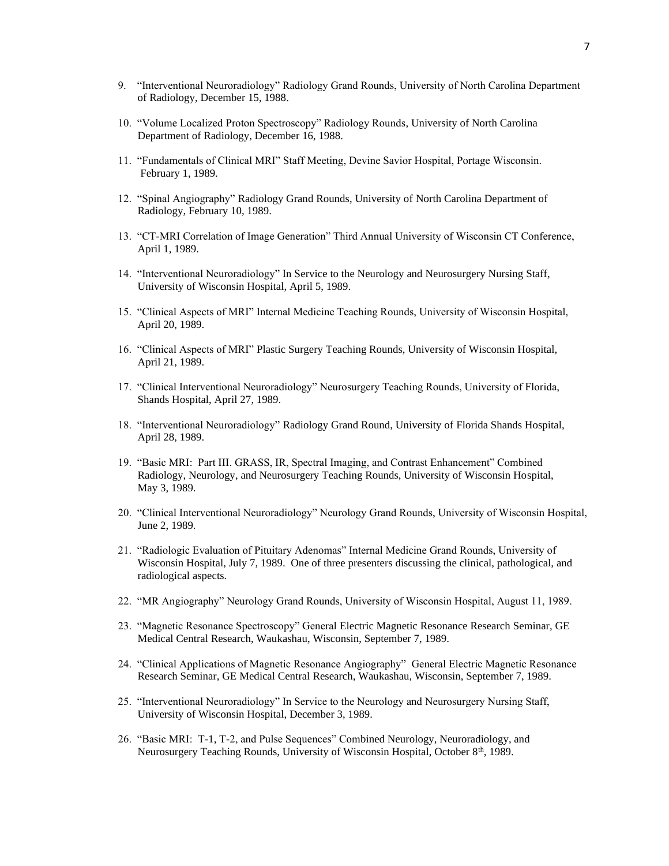- 9. "Interventional Neuroradiology" Radiology Grand Rounds, University of North Carolina Department of Radiology, December 15, 1988.
- 10. "Volume Localized Proton Spectroscopy" Radiology Rounds, University of North Carolina Department of Radiology, December 16, 1988.
- 11. "Fundamentals of Clinical MRI" Staff Meeting, Devine Savior Hospital, Portage Wisconsin. February 1, 1989.
- 12. "Spinal Angiography" Radiology Grand Rounds, University of North Carolina Department of Radiology, February 10, 1989.
- 13. "CT-MRI Correlation of Image Generation" Third Annual University of Wisconsin CT Conference, April 1, 1989.
- 14. "Interventional Neuroradiology" In Service to the Neurology and Neurosurgery Nursing Staff, University of Wisconsin Hospital, April 5, 1989.
- 15. "Clinical Aspects of MRI" Internal Medicine Teaching Rounds, University of Wisconsin Hospital, April 20, 1989.
- 16. "Clinical Aspects of MRI" Plastic Surgery Teaching Rounds, University of Wisconsin Hospital, April 21, 1989.
- 17. "Clinical Interventional Neuroradiology" Neurosurgery Teaching Rounds, University of Florida, Shands Hospital, April 27, 1989.
- 18. "Interventional Neuroradiology" Radiology Grand Round, University of Florida Shands Hospital, April 28, 1989.
- 19. "Basic MRI: Part III. GRASS, IR, Spectral Imaging, and Contrast Enhancement" Combined Radiology, Neurology, and Neurosurgery Teaching Rounds, University of Wisconsin Hospital, May 3, 1989.
- 20. "Clinical Interventional Neuroradiology" Neurology Grand Rounds, University of Wisconsin Hospital, June 2, 1989.
- 21. "Radiologic Evaluation of Pituitary Adenomas" Internal Medicine Grand Rounds, University of Wisconsin Hospital, July 7, 1989. One of three presenters discussing the clinical, pathological, and radiological aspects.
- 22. "MR Angiography" Neurology Grand Rounds, University of Wisconsin Hospital, August 11, 1989.
- 23. "Magnetic Resonance Spectroscopy" General Electric Magnetic Resonance Research Seminar, GE Medical Central Research, Waukashau, Wisconsin, September 7, 1989.
- 24. "Clinical Applications of Magnetic Resonance Angiography" General Electric Magnetic Resonance Research Seminar, GE Medical Central Research, Waukashau, Wisconsin, September 7, 1989.
- 25. "Interventional Neuroradiology" In Service to the Neurology and Neurosurgery Nursing Staff, University of Wisconsin Hospital, December 3, 1989.
- 26. "Basic MRI: T-1, T-2, and Pulse Sequences" Combined Neurology, Neuroradiology, and Neurosurgery Teaching Rounds, University of Wisconsin Hospital, October 8<sup>th</sup>, 1989.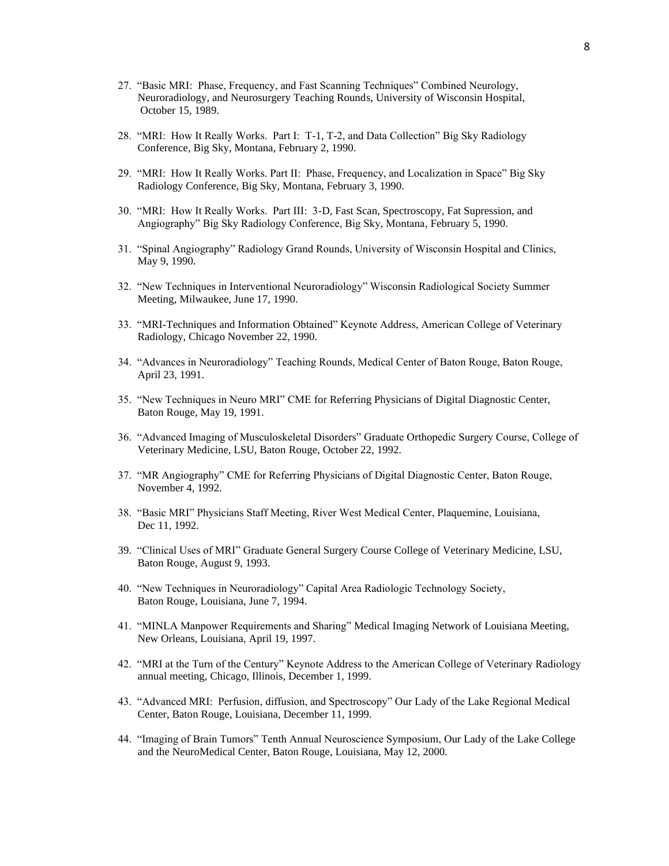- 27. "Basic MRI: Phase, Frequency, and Fast Scanning Techniques" Combined Neurology, Neuroradiology, and Neurosurgery Teaching Rounds, University of Wisconsin Hospital, October 15, 1989.
- 28. "MRI: How It Really Works. Part I: T-1, T-2, and Data Collection" Big Sky Radiology Conference, Big Sky, Montana, February 2, 1990.
- 29. "MRI: How It Really Works. Part II: Phase, Frequency, and Localization in Space" Big Sky Radiology Conference, Big Sky, Montana, February 3, 1990.
- 30. "MRI: How It Really Works. Part III: 3-D, Fast Scan, Spectroscopy, Fat Supression, and Angiography" Big Sky Radiology Conference, Big Sky, Montana, February 5, 1990.
- 31. "Spinal Angiography" Radiology Grand Rounds, University of Wisconsin Hospital and Clinics, May 9, 1990.
- 32. "New Techniques in Interventional Neuroradiology" Wisconsin Radiological Society Summer Meeting, Milwaukee, June 17, 1990.
- 33. "MRI-Techniques and Information Obtained" Keynote Address, American College of Veterinary Radiology, Chicago November 22, 1990.
- 34. "Advances in Neuroradiology" Teaching Rounds, Medical Center of Baton Rouge, Baton Rouge, April 23, 1991.
- 35. "New Techniques in Neuro MRI" CME for Referring Physicians of Digital Diagnostic Center, Baton Rouge, May 19, 1991.
- 36. "Advanced Imaging of Musculoskeletal Disorders" Graduate Orthopedic Surgery Course, College of Veterinary Medicine, LSU, Baton Rouge, October 22, 1992.
- 37. "MR Angiography" CME for Referring Physicians of Digital Diagnostic Center, Baton Rouge, November 4, 1992.
- 38. "Basic MRI" Physicians Staff Meeting, River West Medical Center, Plaquemine, Louisiana, Dec 11, 1992.
- 39. "Clinical Uses of MRI" Graduate General Surgery Course College of Veterinary Medicine, LSU, Baton Rouge, August 9, 1993.
- 40. "New Techniques in Neuroradiology" Capital Area Radiologic Technology Society, Baton Rouge, Louisiana, June 7, 1994.
- 41. "MINLA Manpower Requirements and Sharing" Medical Imaging Network of Louisiana Meeting, New Orleans, Louisiana, April 19, 1997.
- 42. "MRI at the Turn of the Century" Keynote Address to the American College of Veterinary Radiology annual meeting, Chicago, Illinois, December 1, 1999.
- 43. "Advanced MRI: Perfusion, diffusion, and Spectroscopy" Our Lady of the Lake Regional Medical Center, Baton Rouge, Louisiana, December 11, 1999.
- 44. "Imaging of Brain Tumors" Tenth Annual Neuroscience Symposium, Our Lady of the Lake College and the NeuroMedical Center, Baton Rouge, Louisiana, May 12, 2000.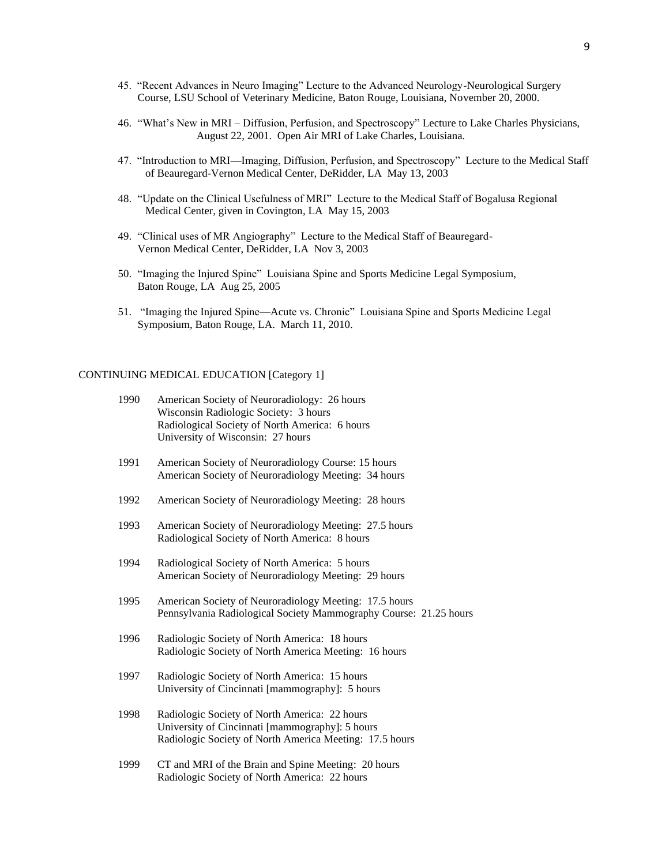- 45. "Recent Advances in Neuro Imaging" Lecture to the Advanced Neurology-Neurological Surgery Course, LSU School of Veterinary Medicine, Baton Rouge, Louisiana, November 20, 2000.
- 46. "What's New in MRI Diffusion, Perfusion, and Spectroscopy" Lecture to Lake Charles Physicians, August 22, 2001. Open Air MRI of Lake Charles, Louisiana.
- 47. "Introduction to MRI—Imaging, Diffusion, Perfusion, and Spectroscopy" Lecture to the Medical Staff of Beauregard-Vernon Medical Center, DeRidder, LA May 13, 2003
- 48. "Update on the Clinical Usefulness of MRI" Lecture to the Medical Staff of Bogalusa Regional Medical Center, given in Covington, LA May 15, 2003
- 49. "Clinical uses of MR Angiography" Lecture to the Medical Staff of Beauregard-Vernon Medical Center, DeRidder, LA Nov 3, 2003
- 50. "Imaging the Injured Spine" Louisiana Spine and Sports Medicine Legal Symposium, Baton Rouge, LA Aug 25, 2005
- 51. "Imaging the Injured Spine—Acute vs. Chronic" Louisiana Spine and Sports Medicine Legal Symposium, Baton Rouge, LA. March 11, 2010.

#### CONTINUING MEDICAL EDUCATION [Category 1]

| 1990 | American Society of Neuroradiology: 26 hours   |
|------|------------------------------------------------|
|      | Wisconsin Radiologic Society: 3 hours          |
|      | Radiological Society of North America: 6 hours |
|      | University of Wisconsin: 27 hours              |
|      |                                                |

- 1991 American Society of Neuroradiology Course: 15 hours American Society of Neuroradiology Meeting: 34 hours
- 1992 American Society of Neuroradiology Meeting: 28 hours
- 1993 American Society of Neuroradiology Meeting: 27.5 hours Radiological Society of North America: 8 hours
- 1994 Radiological Society of North America: 5 hours American Society of Neuroradiology Meeting: 29 hours
- 1995 American Society of Neuroradiology Meeting: 17.5 hours Pennsylvania Radiological Society Mammography Course: 21.25 hours
- 1996 Radiologic Society of North America: 18 hours Radiologic Society of North America Meeting: 16 hours
- 1997 Radiologic Society of North America: 15 hours University of Cincinnati [mammography]: 5 hours
- 1998 Radiologic Society of North America: 22 hours University of Cincinnati [mammography]: 5 hours Radiologic Society of North America Meeting: 17.5 hours
- 1999 CT and MRI of the Brain and Spine Meeting: 20 hours Radiologic Society of North America: 22 hours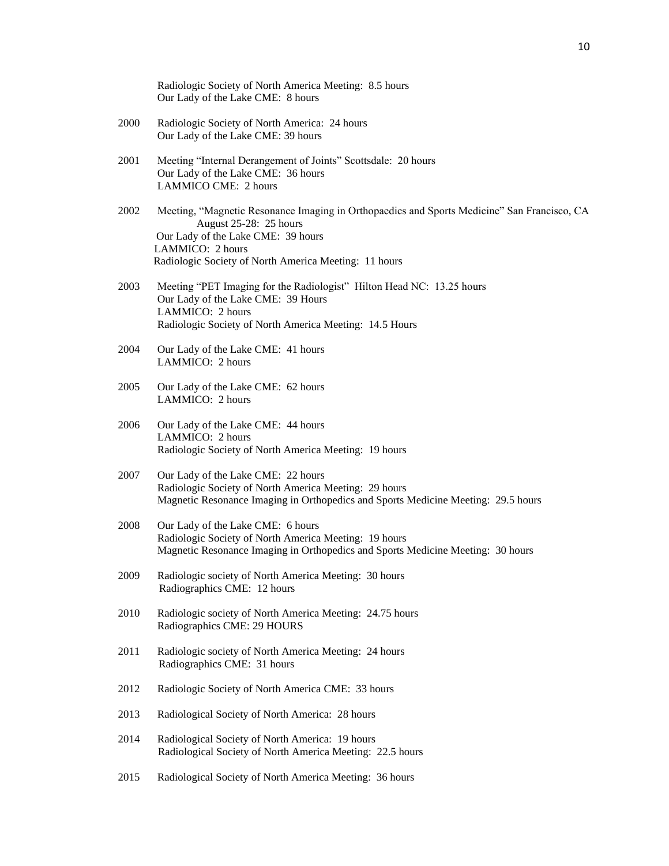|      | Radiologic Society of North America Meeting: 8.5 hours<br>Our Lady of the Lake CME: 8 hours                                                                                                                                              |
|------|------------------------------------------------------------------------------------------------------------------------------------------------------------------------------------------------------------------------------------------|
| 2000 | Radiologic Society of North America: 24 hours<br>Our Lady of the Lake CME: 39 hours                                                                                                                                                      |
| 2001 | Meeting "Internal Derangement of Joints" Scottsdale: 20 hours<br>Our Lady of the Lake CME: 36 hours<br><b>LAMMICO CME: 2 hours</b>                                                                                                       |
| 2002 | Meeting, "Magnetic Resonance Imaging in Orthopaedics and Sports Medicine" San Francisco, CA<br>August 25-28: 25 hours<br>Our Lady of the Lake CME: 39 hours<br>LAMMICO: 2 hours<br>Radiologic Society of North America Meeting: 11 hours |
| 2003 | Meeting "PET Imaging for the Radiologist" Hilton Head NC: 13.25 hours<br>Our Lady of the Lake CME: 39 Hours<br>LAMMICO: 2 hours<br>Radiologic Society of North America Meeting: 14.5 Hours                                               |
| 2004 | Our Lady of the Lake CME: 41 hours<br>LAMMICO: 2 hours                                                                                                                                                                                   |
| 2005 | Our Lady of the Lake CME: 62 hours<br>LAMMICO: 2 hours                                                                                                                                                                                   |
| 2006 | Our Lady of the Lake CME: 44 hours<br>LAMMICO: 2 hours<br>Radiologic Society of North America Meeting: 19 hours                                                                                                                          |
| 2007 | Our Lady of the Lake CME: 22 hours<br>Radiologic Society of North America Meeting: 29 hours<br>Magnetic Resonance Imaging in Orthopedics and Sports Medicine Meeting: 29.5 hours                                                         |
| 2008 | Our Lady of the Lake CME: 6 hours<br>Radiologic Society of North America Meeting: 19 hours<br>Magnetic Resonance Imaging in Orthopedics and Sports Medicine Meeting: 30 hours                                                            |
| 2009 | Radiologic society of North America Meeting: 30 hours<br>Radiographics CME: 12 hours                                                                                                                                                     |
| 2010 | Radiologic society of North America Meeting: 24.75 hours<br>Radiographics CME: 29 HOURS                                                                                                                                                  |
| 2011 | Radiologic society of North America Meeting: 24 hours<br>Radiographics CME: 31 hours                                                                                                                                                     |
| 2012 | Radiologic Society of North America CME: 33 hours                                                                                                                                                                                        |
| 2013 | Radiological Society of North America: 28 hours                                                                                                                                                                                          |
| 2014 | Radiological Society of North America: 19 hours<br>Radiological Society of North America Meeting: 22.5 hours                                                                                                                             |
| 2015 | Radiological Society of North America Meeting: 36 hours                                                                                                                                                                                  |
|      |                                                                                                                                                                                                                                          |